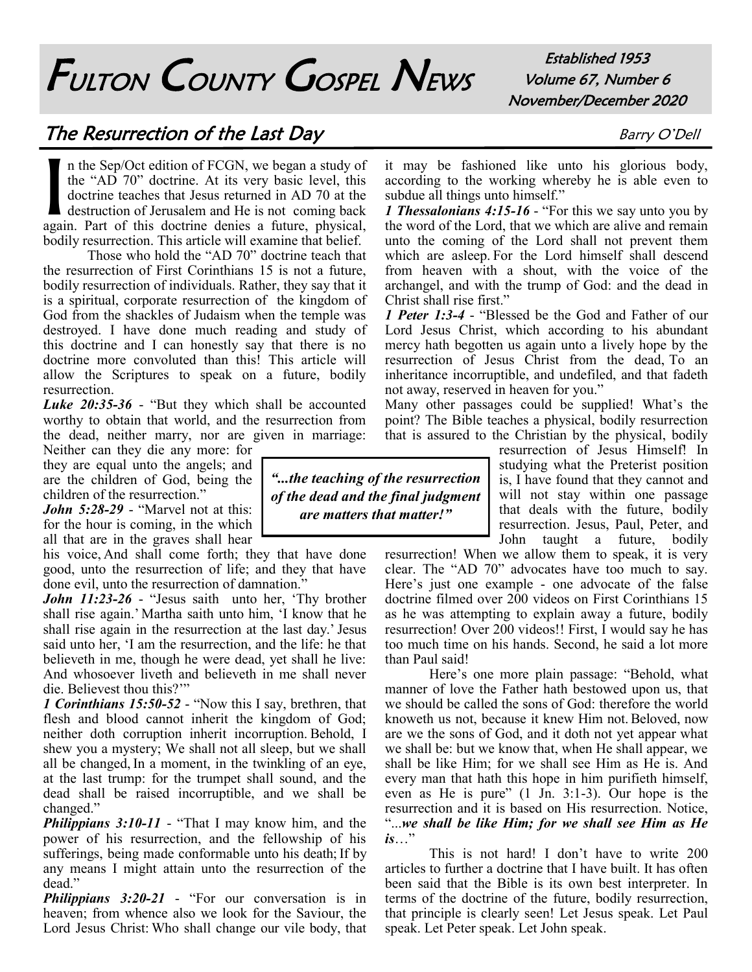## FULTON COUNTY GOSPEL NEWS

Established 1953 Volume 67, Number 6 November/December 2020

## The Resurrection of the Last Day Barry O'Dell

I n the Sep/Oct edition of FCGN, we began a study of the "AD 70" doctrine. At its very basic level, this doctrine teaches that Jesus returned in AD 70 at the destruction of Jerusalem and He is not coming back again. Part of this doctrine denies a future, physical, bodily resurrection. This article will examine that belief.

Those who hold the "AD 70" doctrine teach that the resurrection of First Corinthians 15 is not a future, bodily resurrection of individuals. Rather, they say that it is a spiritual, corporate resurrection of the kingdom of God from the shackles of Judaism when the temple was destroyed. I have done much reading and study of this doctrine and I can honestly say that there is no doctrine more convoluted than this! This article will allow the Scriptures to speak on a future, bodily resurrection.

*Luke 20:35-36* - "But they which shall be accounted worthy to obtain that world, and the resurrection from the dead, neither marry, nor are given in marriage:

Neither can they die any more: for they are equal unto the angels; and are the children of God, being the children of the resurrection."

*John 5:28-29* - "Marvel not at this: for the hour is coming, in the which all that are in the graves shall hear

his voice, And shall come forth; they that have done good, unto the resurrection of life; and they that have done evil, unto the resurrection of damnation."

*John 11:23-26* - "Jesus saith unto her, 'Thy brother shall rise again.' Martha saith unto him, 'I know that he shall rise again in the resurrection at the last day.'Jesus said unto her, 'I am the resurrection, and the life: he that believeth in me, though he were dead, yet shall he live: And whosoever liveth and believeth in me shall never die. Believest thou this?'"

*1 Corinthians 15:50-52* - "Now this I say, brethren, that flesh and blood cannot inherit the kingdom of God; neither doth corruption inherit incorruption. Behold, I shew you a mystery; We shall not all sleep, but we shall all be changed, In a moment, in the twinkling of an eye, at the last trump: for the trumpet shall sound, and the dead shall be raised incorruptible, and we shall be changed."

*Philippians 3:10-11* - "That I may know him, and the power of his resurrection, and the fellowship of his sufferings, being made conformable unto his death; If by any means I might attain unto the resurrection of the dead."

*Philippians 3:20-21* - "For our conversation is in heaven; from whence also we look for the Saviour, the Lord Jesus Christ: Who shall change our vile body, that

*"...the teaching of the resurrection of the dead and the final judgment are matters that matter!"*

it may be fashioned like unto his glorious body, according to the working whereby he is able even to subdue all things unto himself."

*1 Thessalonians 4:15-16* - "For this we say unto you by the word of the Lord, that we which are alive and remain unto the coming of the Lord shall not prevent them which are asleep. For the Lord himself shall descend from heaven with a shout, with the voice of the archangel, and with the trump of God: and the dead in Christ shall rise first."

*1 Peter 1:3-4* - "Blessed be the God and Father of our Lord Jesus Christ, which according to his abundant mercy hath begotten us again unto a lively hope by the resurrection of Jesus Christ from the dead, To an inheritance incorruptible, and undefiled, and that fadeth not away, reserved in heaven for you."

Many other passages could be supplied! What's the point? The Bible teaches a physical, bodily resurrection that is assured to the Christian by the physical, bodily

> resurrection of Jesus Himself! In studying what the Preterist position is, I have found that they cannot and will not stay within one passage that deals with the future, bodily resurrection. Jesus, Paul, Peter, and John taught a future, bodily

resurrection! When we allow them to speak, it is very clear. The "AD 70" advocates have too much to say. Here's just one example - one advocate of the false doctrine filmed over 200 videos on First Corinthians 15 as he was attempting to explain away a future, bodily resurrection! Over 200 videos!! First, I would say he has too much time on his hands. Second, he said a lot more than Paul said!

Here's one more plain passage: "Behold, what manner of love the Father hath bestowed upon us, that we should be called the sons of God: therefore the world knoweth us not, because it knew Him not.Beloved, now are we the sons of God, and it doth not yet appear what we shall be: but we know that, when He shall appear, we shall be like Him; for we shall see Him as He is. And every man that hath this hope in him purifieth himself, even as He is pure" (1 Jn. 3:1-3). Our hope is the resurrection and it is based on His resurrection. Notice, "...*we shall be like Him; for we shall see Him as He is*…"

This is not hard! I don't have to write 200 articles to further a doctrine that I have built. It has often been said that the Bible is its own best interpreter. In terms of the doctrine of the future, bodily resurrection, that principle is clearly seen! Let Jesus speak. Let Paul speak. Let Peter speak. Let John speak.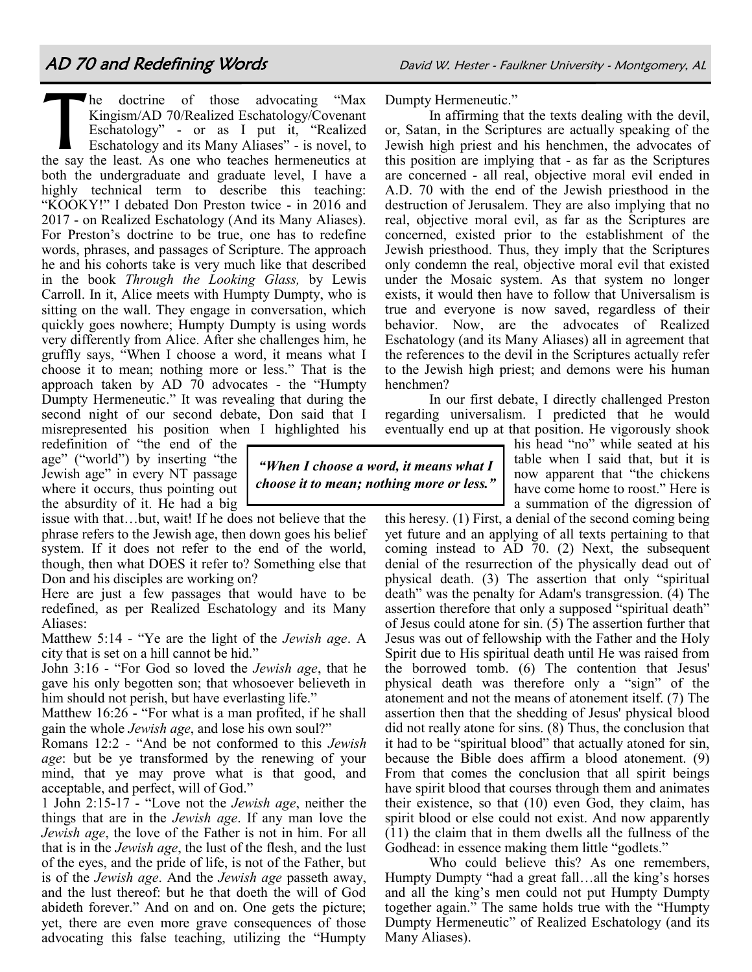T The doctrine of those advocating "Max" Kingism/AD 70/Realized Eschatology/Covenant Eschatology" - or as I put it, "Realized Eschatology and its Many Aliases" - is novel, to the say the least. As one who teaches hermeneutics at both the undergraduate and graduate level, I have a highly technical term to describe this teaching: "KOOKY!" I debated Don Preston twice - in 2016 and 2017 - on Realized Eschatology (And its Many Aliases). For Preston's doctrine to be true, one has to redefine words, phrases, and passages of Scripture. The approach he and his cohorts take is very much like that described in the book *Through the Looking Glass,* by Lewis Carroll. In it, Alice meets with Humpty Dumpty, who is sitting on the wall. They engage in conversation, which quickly goes nowhere; Humpty Dumpty is using words very differently from Alice. After she challenges him, he gruffly says, "When I choose a word, it means what I choose it to mean; nothing more or less." That is the approach taken by AD 70 advocates - the "Humpty Dumpty Hermeneutic." It was revealing that during the second night of our second debate, Don said that I misrepresented his position when I highlighted his

redefinition of "the end of the age" ("world") by inserting "the Jewish age" in every NT passage where it occurs, thus pointing out the absurdity of it. He had a big

issue with that…but, wait! If he does not believe that the phrase refers to the Jewish age, then down goes his belief system. If it does not refer to the end of the world, though, then what DOES it refer to? Something else that Don and his disciples are working on?

Here are just a few passages that would have to be redefined, as per Realized Eschatology and its Many Aliases:

Matthew 5:14 - "Ye are the light of the *Jewish age*. A city that is set on a hill cannot be hid."

John 3:16 - "For God so loved the *Jewish age*, that he gave his only begotten son; that whosoever believeth in him should not perish, but have everlasting life."

Matthew 16:26 - "For what is a man profited, if he shall gain the whole *Jewish age*, and lose his own soul?"

Romans 12:2 - "And be not conformed to this *Jewish age*: but be ye transformed by the renewing of your mind, that ye may prove what is that good, and acceptable, and perfect, will of God."

1 John 2:15-17 - "Love not the *Jewish age*, neither the things that are in the *Jewish age*. If any man love the *Jewish age*, the love of the Father is not in him. For all that is in the *Jewish age*, the lust of the flesh, and the lust of the eyes, and the pride of life, is not of the Father, but is of the *Jewish age*. And the *Jewish age* passeth away, and the lust thereof: but he that doeth the will of God abideth forever." And on and on. One gets the picture; yet, there are even more grave consequences of those advocating this false teaching, utilizing the "Humpty

Dumpty Hermeneutic."

In affirming that the texts dealing with the devil, or, Satan, in the Scriptures are actually speaking of the Jewish high priest and his henchmen, the advocates of this position are implying that - as far as the Scriptures are concerned - all real, objective moral evil ended in A.D. 70 with the end of the Jewish priesthood in the destruction of Jerusalem. They are also implying that no real, objective moral evil, as far as the Scriptures are concerned, existed prior to the establishment of the Jewish priesthood. Thus, they imply that the Scriptures only condemn the real, objective moral evil that existed under the Mosaic system. As that system no longer exists, it would then have to follow that Universalism is true and everyone is now saved, regardless of their behavior. Now, are the advocates of Realized Eschatology (and its Many Aliases) all in agreement that the references to the devil in the Scriptures actually refer to the Jewish high priest; and demons were his human henchmen?

In our first debate, I directly challenged Preston regarding universalism. I predicted that he would eventually end up at that position. He vigorously shook

> his head "no" while seated at his table when I said that, but it is now apparent that "the chickens have come home to roost." Here is a summation of the digression of

this heresy. (1) First, a denial of the second coming being yet future and an applying of all texts pertaining to that coming instead to AD 70. (2) Next, the subsequent denial of the resurrection of the physically dead out of physical death. (3) The assertion that only "spiritual death" was the penalty for Adam's transgression. (4) The assertion therefore that only a supposed "spiritual death" of Jesus could atone for sin. (5) The assertion further that Jesus was out of fellowship with the Father and the Holy Spirit due to His spiritual death until He was raised from the borrowed tomb. (6) The contention that Jesus' physical death was therefore only a "sign" of the atonement and not the means of atonement itself. (7) The assertion then that the shedding of Jesus' physical blood did not really atone for sins. (8) Thus, the conclusion that it had to be "spiritual blood" that actually atoned for sin, because the Bible does affirm a blood atonement. (9) From that comes the conclusion that all spirit beings have spirit blood that courses through them and animates their existence, so that (10) even God, they claim, has spirit blood or else could not exist. And now apparently (11) the claim that in them dwells all the fullness of the Godhead: in essence making them little "godlets."

Who could believe this? As one remembers, Humpty Dumpty "had a great fall…all the king's horses and all the king's men could not put Humpty Dumpty together again." The same holds true with the "Humpty Dumpty Hermeneutic" of Realized Eschatology (and its Many Aliases).

*"When I choose a word, it means what I choose it to mean; nothing more or less."*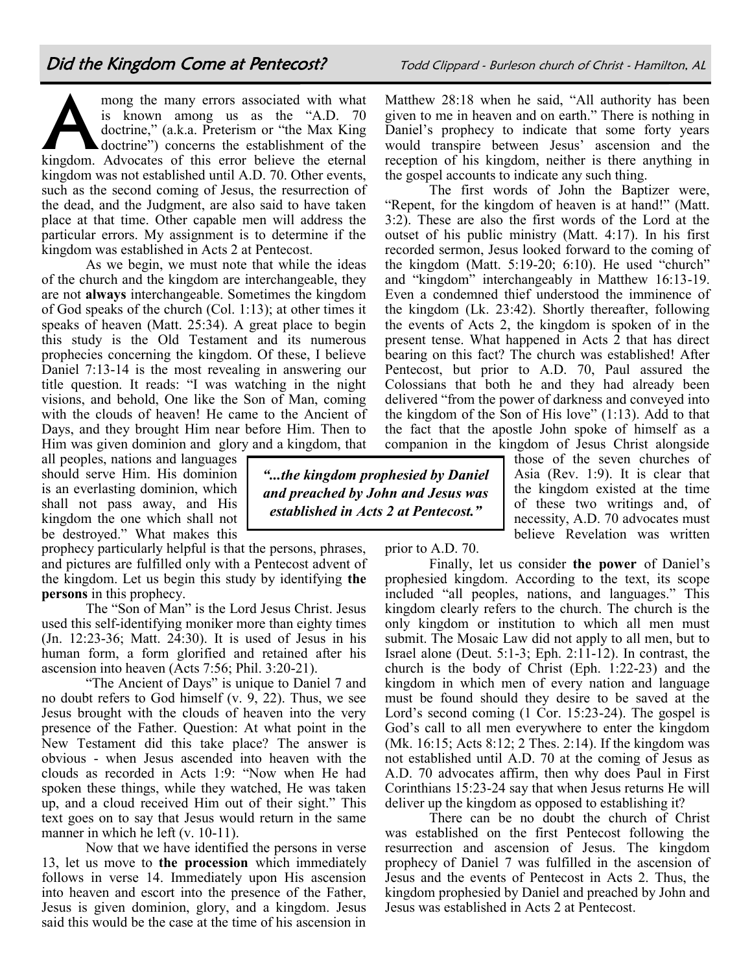A mong the many errors associated with what is known among us as the "A.D. 70 doctrine," (a.k.a. Preterism or "the Max King doctrine") concerns the establishment of the kingdom. Advocates of this error believe the eternal kingdom was not established until A.D. 70. Other events, such as the second coming of Jesus, the resurrection of the dead, and the Judgment, are also said to have taken place at that time. Other capable men will address the particular errors. My assignment is to determine if the kingdom was established in Acts 2 at Pentecost.

As we begin, we must note that while the ideas of the church and the kingdom are interchangeable, they are not **always** interchangeable. Sometimes the kingdom of God speaks of the church (Col. 1:13); at other times it speaks of heaven (Matt. 25:34). A great place to begin this study is the Old Testament and its numerous prophecies concerning the kingdom. Of these, I believe Daniel 7:13-14 is the most revealing in answering our title question. It reads: "I was watching in the night visions, and behold, One like the Son of Man, coming with the clouds of heaven! He came to the Ancient of Days, and they brought Him near before Him. Then to Him was given dominion and glory and a kingdom, that

all peoples, nations and languages should serve Him. His dominion is an everlasting dominion, which shall not pass away, and His kingdom the one which shall not be destroyed." What makes this

prophecy particularly helpful is that the persons, phrases, and pictures are fulfilled only with a Pentecost advent of the kingdom. Let us begin this study by identifying **the persons** in this prophecy.

The "Son of Man" is the Lord Jesus Christ. Jesus used this self-identifying moniker more than eighty times (Jn. 12:23-36; Matt. 24:30). It is used of Jesus in his human form, a form glorified and retained after his ascension into heaven (Acts 7:56; Phil. 3:20-21).

"The Ancient of Days" is unique to Daniel 7 and no doubt refers to God himself (v. 9, 22). Thus, we see Jesus brought with the clouds of heaven into the very presence of the Father. Question: At what point in the New Testament did this take place? The answer is obvious - when Jesus ascended into heaven with the clouds as recorded in Acts 1:9: "Now when He had spoken these things, while they watched, He was taken up, and a cloud received Him out of their sight." This text goes on to say that Jesus would return in the same manner in which he left (v. 10-11).

Now that we have identified the persons in verse 13, let us move to **the procession** which immediately follows in verse 14. Immediately upon His ascension into heaven and escort into the presence of the Father, Jesus is given dominion, glory, and a kingdom. Jesus said this would be the case at the time of his ascension in

Matthew 28:18 when he said, "All authority has been given to me in heaven and on earth." There is nothing in Daniel's prophecy to indicate that some forty years would transpire between Jesus' ascension and the reception of his kingdom, neither is there anything in the gospel accounts to indicate any such thing.

The first words of John the Baptizer were, "Repent, for the kingdom of heaven is at hand!" (Matt. 3:2). These are also the first words of the Lord at the outset of his public ministry (Matt. 4:17). In his first recorded sermon, Jesus looked forward to the coming of the kingdom (Matt. 5:19-20; 6:10). He used "church" and "kingdom" interchangeably in Matthew 16:13-19. Even a condemned thief understood the imminence of the kingdom (Lk. 23:42). Shortly thereafter, following the events of Acts 2, the kingdom is spoken of in the present tense. What happened in Acts 2 that has direct bearing on this fact? The church was established! After Pentecost, but prior to A.D. 70, Paul assured the Colossians that both he and they had already been delivered "from the power of darkness and conveyed into the kingdom of the Son of His love" (1:13). Add to that the fact that the apostle John spoke of himself as a companion in the kingdom of Jesus Christ alongside

*"...the kingdom prophesied by Daniel and preached by John and Jesus was established in Acts 2 at Pentecost."*

those of the seven churches of Asia (Rev. 1:9). It is clear that the kingdom existed at the time of these two writings and, of necessity, A.D. 70 advocates must believe Revelation was written

prior to A.D. 70.

Finally, let us consider **the power** of Daniel's prophesied kingdom. According to the text, its scope included "all peoples, nations, and languages." This kingdom clearly refers to the church. The church is the only kingdom or institution to which all men must submit. The Mosaic Law did not apply to all men, but to Israel alone (Deut. 5:1-3; Eph. 2:11-12). In contrast, the church is the body of Christ (Eph. 1:22-23) and the kingdom in which men of every nation and language must be found should they desire to be saved at the Lord's second coming (1 Cor. 15:23-24). The gospel is God's call to all men everywhere to enter the kingdom (Mk. 16:15; Acts 8:12; 2 Thes. 2:14). If the kingdom was not established until A.D. 70 at the coming of Jesus as A.D. 70 advocates affirm, then why does Paul in First Corinthians 15:23-24 say that when Jesus returns He will deliver up the kingdom as opposed to establishing it?

There can be no doubt the church of Christ was established on the first Pentecost following the resurrection and ascension of Jesus. The kingdom prophecy of Daniel 7 was fulfilled in the ascension of Jesus and the events of Pentecost in Acts 2. Thus, the kingdom prophesied by Daniel and preached by John and Jesus was established in Acts 2 at Pentecost.